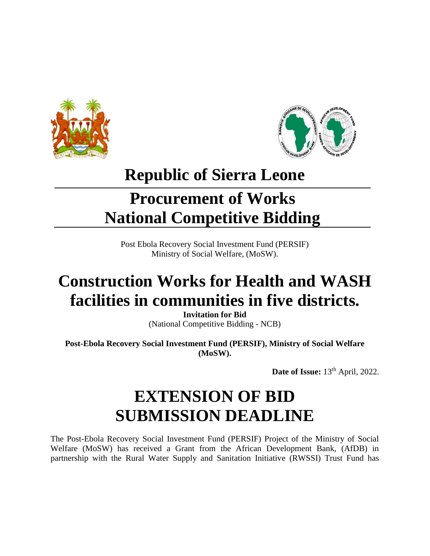



## **Republic of Sierra Leone**

# **Procurement of Works National Competitive Bidding**

Post Ebola Recovery Social Investment Fund (PERSIF) Ministry of Social Welfare, (MoSW).

# **Construction Works for Health and WASH facilities in communities in five districts.**

**Invitation for Bid**  (National Competitive Bidding - NCB)

**Post-Ebola Recovery Social Investment Fund (PERSIF), Ministry of Social Welfare (MoSW).**

**Date of Issue:** 13<sup>th</sup> April, 2022.

# **EXTENSION OF BID SUBMISSION DEADLINE**

The Post-Ebola Recovery Social Investment Fund (PERSIF) Project of the Ministry of Social Welfare (MoSW) has received a Grant from the African Development Bank, (AfDB) in partnership with the Rural Water Supply and Sanitation Initiative (RWSSI) Trust Fund has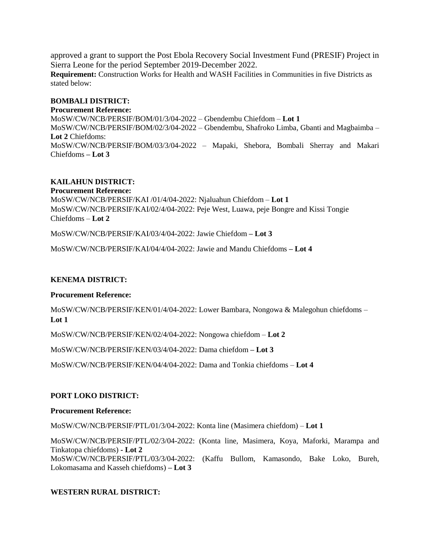approved a grant to support the Post Ebola Recovery Social Investment Fund (PRESIF) Project in Sierra Leone for the period September 2019-December 2022. **Requirement:** Construction Works for Health and WASH Facilities in Communities in five Districts as stated below:

## **BOMBALI DISTRICT:**

**Procurement Reference:**  MoSW/CW/NCB/PERSIF/BOM/01/3/04-2022 – Gbendembu Chiefdom – **Lot 1** MoSW/CW/NCB/PERSIF/BOM/02/3/04-2022 – Gbendembu, Shafroko Limba, Gbanti and Magbaimba – **Lot 2** Chiefdoms: MoSW/CW/NCB/PERSIF/BOM/03/3/04-2022 – Mapaki, Shebora, Bombali Sherray and Makari Chiefdoms **– Lot 3**

## **KAILAHUN DISTRICT:**

**Procurement Reference:** MoSW/CW/NCB/PERSIF/KAI /01/4/04-2022: Njaluahun Chiefdom – **Lot 1** MoSW/CW/NCB/PERSIF/KAI/02/4/04-2022: Peje West, Luawa, peje Bongre and Kissi Tongie Chiefdoms – **Lot 2**

MoSW/CW/NCB/PERSIF/KAI/03/4/04-2022: Jawie Chiefdom **– Lot 3**

MoSW/CW/NCB/PERSIF/KAI/04/4/04-2022: Jawie and Mandu Chiefdoms **– Lot 4**

## **KENEMA DISTRICT:**

#### **Procurement Reference:**

MoSW/CW/NCB/PERSIF/KEN/01/4/04-2022: Lower Bambara, Nongowa & Malegohun chiefdoms – **Lot 1**

MoSW/CW/NCB/PERSIF/KEN/02/4/04-2022: Nongowa chiefdom – **Lot 2**

MoSW/CW/NCB/PERSIF/KEN/03/4/04-2022: Dama chiefdom **– Lot 3**

MoSW/CW/NCB/PERSIF/KEN/04/4/04-2022: Dama and Tonkia chiefdoms – **Lot 4**

## **PORT LOKO DISTRICT:**

#### **Procurement Reference:**

MoSW/CW/NCB/PERSIF/PTL/01/3/04-2022: Konta line (Masimera chiefdom) – **Lot 1**

MoSW/CW/NCB/PERSIF/PTL/02/3/04-2022: (Konta line, Masimera, Koya, Maforki, Marampa and Tinkatopa chiefdoms) **- Lot 2** MoSW/CW/NCB/PERSIF/PTL/03/3/04-2022: (Kaffu Bullom, Kamasondo, Bake Loko, Bureh, Lokomasama and Kasseh chiefdoms) **– Lot 3**

## **WESTERN RURAL DISTRICT:**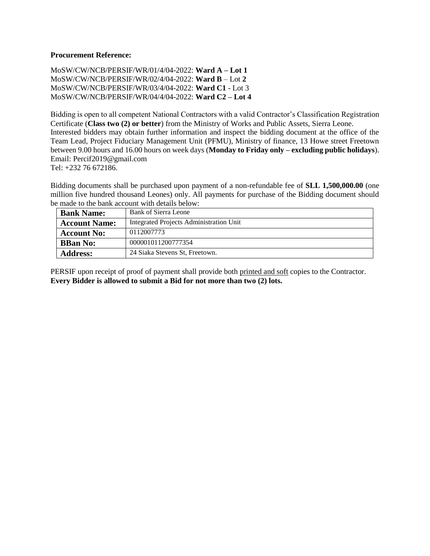#### **Procurement Reference:**

MoSW/CW/NCB/PERSIF/WR/01/4/04-2022: **Ward A – Lot 1** MoSW/CW/NCB/PERSIF/WR/02/4/04-2022: **Ward B** – Lot **2** MoSW/CW/NCB/PERSIF/WR/03/4/04-2022: **Ward C1** - Lot 3 MoSW/CW/NCB/PERSIF/WR/04/4/04-2022: **Ward C2 – Lot 4**

Bidding is open to all competent National Contractors with a valid Contractor's Classification Registration Certificate (**Class two (2) or better**) from the Ministry of Works and Public Assets, Sierra Leone. Interested bidders may obtain further information and inspect the bidding document at the office of the Team Lead, Project Fiduciary Management Unit (PFMU), Ministry of finance, 13 Howe street Freetown between 9.00 hours and 16.00 hours on week days (**Monday to Friday only – excluding public holidays**). Email: Percif2019@gmail.com

Tel: +232 76 672186.

Bidding documents shall be purchased upon payment of a non-refundable fee of **SLL 1,500,000.00** (one million five hundred thousand Leones) only. All payments for purchase of the Bidding document should be made to the bank account with details below:

| <b>Bank Name:</b>    | Bank of Sierra Leone                           |
|----------------------|------------------------------------------------|
| <b>Account Name:</b> | <b>Integrated Projects Administration Unit</b> |
| <b>Account No:</b>   | 0112007773                                     |
| <b>BBan No:</b>      | 000001011200777354                             |
| <b>Address:</b>      | 24 Siaka Stevens St, Freetown.                 |

PERSIF upon receipt of proof of payment shall provide both printed and soft copies to the Contractor. **Every Bidder is allowed to submit a Bid for not more than two (2) lots.**